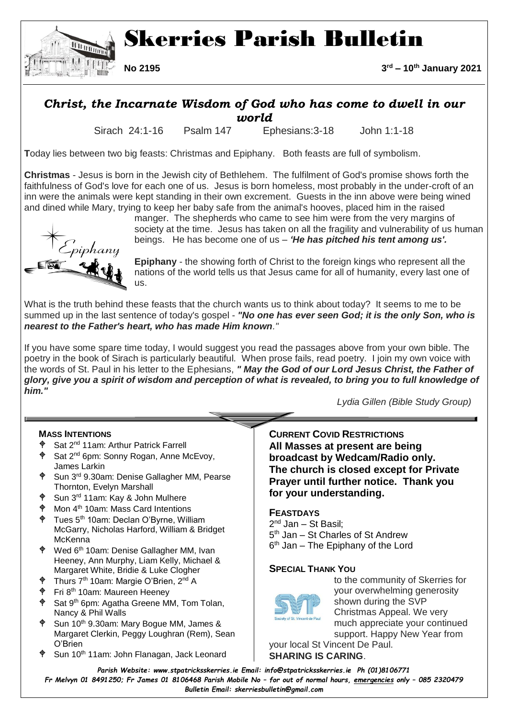

# *Christ, the Incarnate Wisdom of God who has come to dwell in our*

*world*

Sirach 24:1-16 Psalm 147 Ephesians:3-18 John 1:1-18

**T**oday lies between two big feasts: Christmas and Epiphany. Both feasts are full of symbolism.

**Christmas** - Jesus is born in the Jewish city of Bethlehem. The fulfilment of God's promise shows forth the faithfulness of God's love for each one of us. Jesus is born homeless, most probably in the under-croft of an inn were the animals were kept standing in their own excrement. Guests in the inn above were being wined and dined while Mary, trying to keep her baby safe from the animal's hooves, placed him in the raised



manger. The shepherds who came to see him were from the very margins of society at the time. Jesus has taken on all the fragility and vulnerability of us human beings. He has become one of us – *'He has pitched his tent among us'.*

**Epiphany** - the showing forth of Christ to the foreign kings who represent all the nations of the world tells us that Jesus came for all of humanity, every last one of us.

What is the truth behind these feasts that the church wants us to think about today? It seems to me to be summed up in the last sentence of today's gospel - *"No one has ever seen God; it is the only Son, who is nearest to the Father's heart, who has made Him known."*

If you have some spare time today, I would suggest you read the passages above from your own bible. The poetry in the book of Sirach is particularly beautiful. When prose fails, read poetry. I join my own voice with the words of St. Paul in his letter to the Ephesians, *" May the God of our Lord Jesus Christ, the Father of glory, give you a spirit of wisdom and perception of what is revealed, to bring you to full knowledge of him."*

 *Lydia Gillen (Bible Study Group)*

# **MASS INTENTIONS**

- Sat 2nd 11am: Arthur Patrick Farrell
- $\phi$  Sat 2<sup>nd</sup> 6pm: Sonny Rogan, Anne McEvoy, James Larkin
- $\phi$  Sun 3<sup>rd</sup> 9.30am: Denise Gallagher MM, Pearse Thornton, Evelyn Marshall
- Sun 3rd 11am: Kay & John Mulhere
- Mon 4th 10am: Mass Card Intentions
- Tues 5th 10am: Declan O'Byrne, William McGarry, Nicholas Harford, William & Bridget McKenna
- Wed 6th 10am: Denise Gallagher MM, Ivan Heeney, Ann Murphy, Liam Kelly, Michael & Margaret White, Bridie & Luke Clogher
- Thurs 7<sup>th</sup> 10am: Margie O'Brien, 2<sup>nd</sup> A
- Fri 8th 10am: Maureen Heeney
- Sat 9<sup>th</sup> 6pm: Agatha Greene MM, Tom Tolan, Nancy & Phil Walls
- Sun 10<sup>th</sup> 9.30am: Mary Bogue MM, James & Margaret Clerkin, Peggy Loughran (Rem), Sean O'Brien
- Sun 10<sup>th</sup> 11am: John Flanagan, Jack Leonard

**CURRENT COVID RESTRICTIONS All Masses at present are being broadcast by Wedcam/Radio only. The church is closed except for Private Prayer until further notice. Thank you for your understanding.** 

# **FEASTDAYS**

2<sup>nd</sup> Jan – St Basil; 5<sup>th</sup> Jan – St Charles of St Andrew 6<sup>th</sup> Jan - The Epiphany of the Lord

# **SPECIAL THANK YOU**



to the community of Skerries for your overwhelming generosity shown during the SVP Christmas Appeal. We very much appreciate your continued support. Happy New Year from

your local St Vincent De Paul. **SHARING IS CARING**.

*Parish Website: www[.stpatricksskerries.ie](mailto:stpatricksskerries.ie) Email: [info@stpatricksskerries.ie](mailto:info@stpatricksskerries.ie) Ph (01)8106771 Fr Melvyn 01 8491250; Fr James 01 8106468 Parish Mobile No – for out of normal hours, emergencies only – 085 2320479 Bulletin Email: skerriesbulletin@gmail.com*